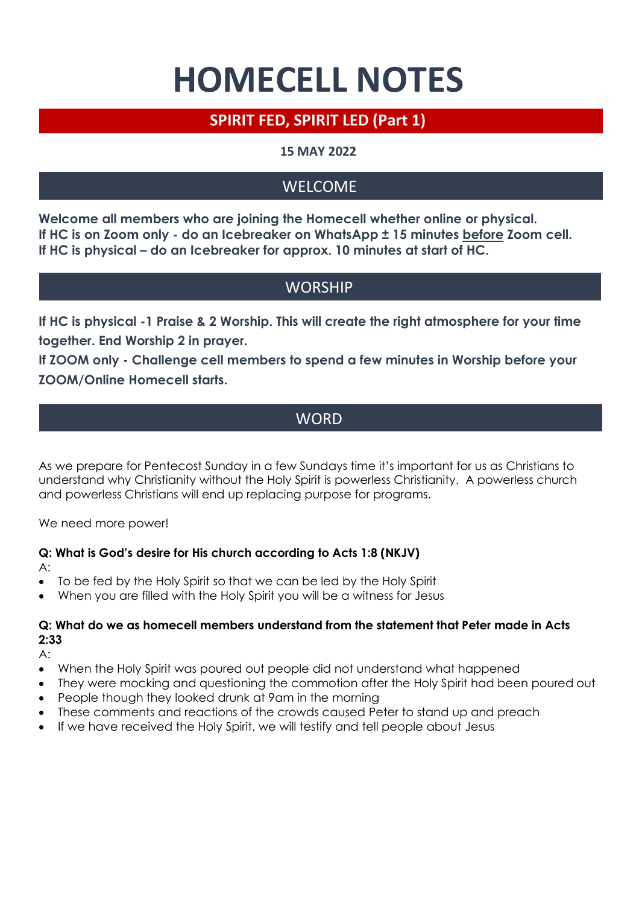# **HOMECELL NOTES**

# **SPIRIT FED, SPIRIT LED (Part 1)**

### **15 MAY 2022**

# **WELCOME**

**Welcome all members who are joining the Homecell whether online or physical. If HC is on Zoom only - do an Icebreaker on WhatsApp ± 15 minutes before Zoom cell. If HC is physical – do an Icebreaker for approx. 10 minutes at start of HC.**

## **WORSHIP**

**If HC is physical -1 Praise & 2 Worship. This will create the right atmosphere for your time together. End Worship 2 in prayer.**

**If ZOOM only - Challenge cell members to spend a few minutes in Worship before your ZOOM/Online Homecell starts.** 

## **WORD**

As we prepare for Pentecost Sunday in a few Sundays time it's important for us as Christians to understand why Christianity without the Holy Spirit is powerless Christianity. A powerless church and powerless Christians will end up replacing purpose for programs.

We need more power!

## **Q: What is God's desire for His church according to Acts 1:8 (NKJV)**

A:

- To be fed by the Holy Spirit so that we can be led by the Holy Spirit
- When you are filled with the Holy Spirit you will be a witness for Jesus

#### **Q: What do we as homecell members understand from the statement that Peter made in Acts 2:33**

 $A$ :

- When the Holy Spirit was poured out people did not understand what happened
- They were mocking and questioning the commotion after the Holy Spirit had been poured out
- People though they looked drunk at 9am in the morning
- These comments and reactions of the crowds caused Peter to stand up and preach
- If we have received the Holy Spirit, we will testify and tell people about Jesus